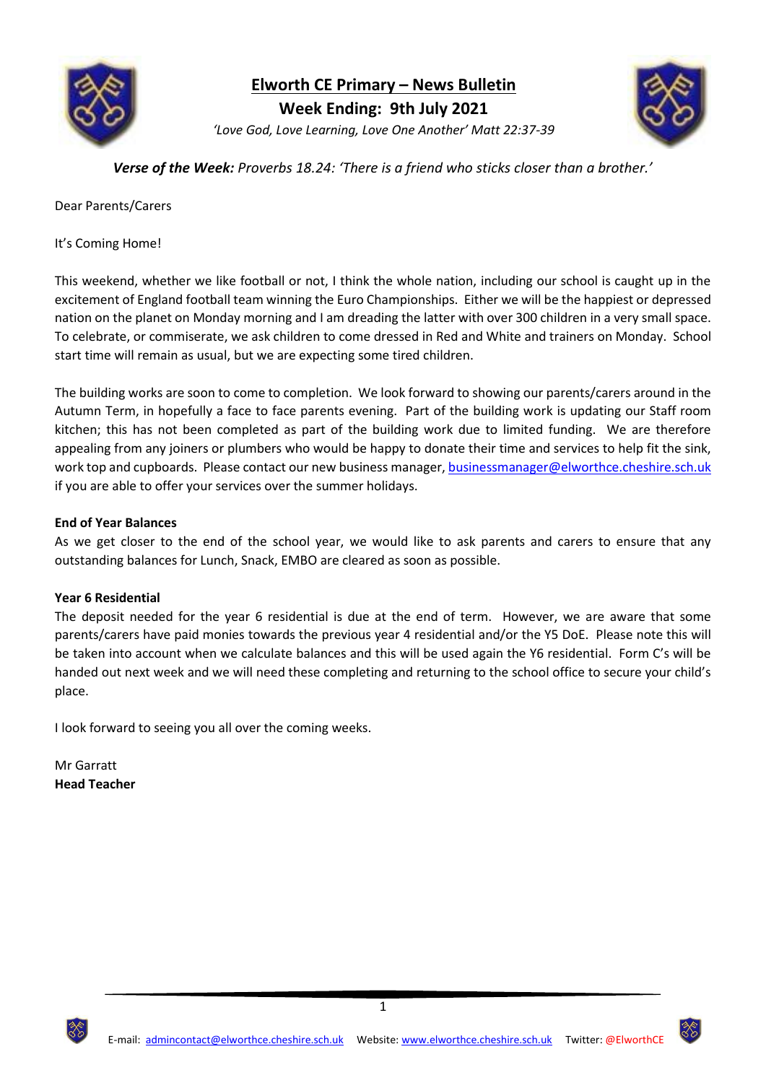

**Elworth CE Primary – News Bulletin**

**Week Ending: 9th July 2021**

*'Love God, Love Learning, Love One Another' Matt 22:37-39*



*Verse of the Week: Proverbs 18.24: 'There is a friend who sticks closer than a brother.'*

Dear Parents/Carers

It's Coming Home!

This weekend, whether we like football or not, I think the whole nation, including our school is caught up in the excitement of England football team winning the Euro Championships. Either we will be the happiest or depressed nation on the planet on Monday morning and I am dreading the latter with over 300 children in a very small space. To celebrate, or commiserate, we ask children to come dressed in Red and White and trainers on Monday. School start time will remain as usual, but we are expecting some tired children.

The building works are soon to come to completion. We look forward to showing our parents/carers around in the Autumn Term, in hopefully a face to face parents evening. Part of the building work is updating our Staff room kitchen; this has not been completed as part of the building work due to limited funding. We are therefore appealing from any joiners or plumbers who would be happy to donate their time and services to help fit the sink, work top and cupboards. Please contact our new business manager, [businessmanager@elworthce.cheshire.sch.uk](mailto:businessmanager@elworthce.cheshire.sch.uk) if you are able to offer your services over the summer holidays.

# **End of Year Balances**

As we get closer to the end of the school year, we would like to ask parents and carers to ensure that any outstanding balances for Lunch, Snack, EMBO are cleared as soon as possible.

## **Year 6 Residential**

The deposit needed for the year 6 residential is due at the end of term. However, we are aware that some parents/carers have paid monies towards the previous year 4 residential and/or the Y5 DoE. Please note this will be taken into account when we calculate balances and this will be used again the Y6 residential. Form C's will be handed out next week and we will need these completing and returning to the school office to secure your child's place.

I look forward to seeing you all over the coming weeks.

Mr Garratt **Head Teacher**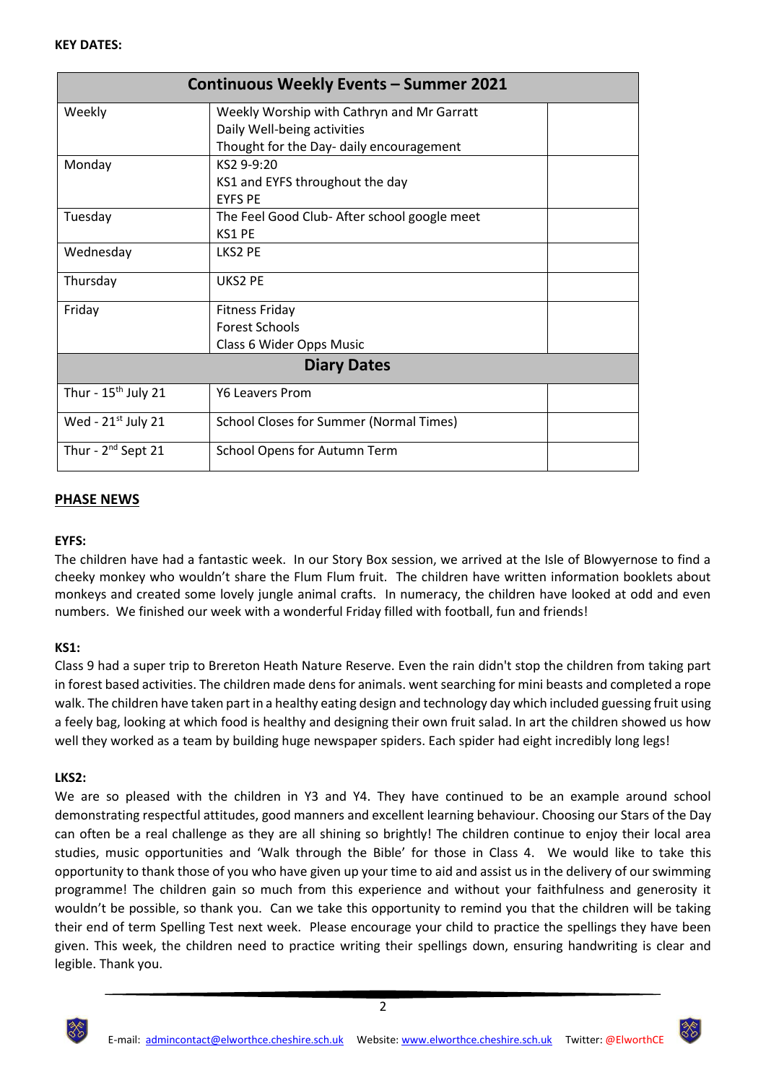| <b>Continuous Weekly Events - Summer 2021</b> |                                                |  |
|-----------------------------------------------|------------------------------------------------|--|
| Weekly                                        | Weekly Worship with Cathryn and Mr Garratt     |  |
|                                               | Daily Well-being activities                    |  |
|                                               | Thought for the Day- daily encouragement       |  |
| Monday                                        | KS2 9-9:20                                     |  |
|                                               | KS1 and EYFS throughout the day                |  |
|                                               | <b>EYES PE</b>                                 |  |
| Tuesday                                       | The Feel Good Club- After school google meet   |  |
|                                               | KS1 PF                                         |  |
| Wednesday                                     | LKS2 PE                                        |  |
| Thursday                                      | UKS2 PE                                        |  |
| Friday                                        | <b>Fitness Friday</b>                          |  |
|                                               | <b>Forest Schools</b>                          |  |
|                                               | Class 6 Wider Opps Music                       |  |
| <b>Diary Dates</b>                            |                                                |  |
| Thur - $15th$ July 21                         | <b>Y6 Leavers Prom</b>                         |  |
| Wed - $21^{st}$ July 21                       | <b>School Closes for Summer (Normal Times)</b> |  |
| Thur - 2 <sup>nd</sup> Sept 21                | School Opens for Autumn Term                   |  |

# **PHASE NEWS**

# **EYFS:**

The children have had a fantastic week. In our Story Box session, we arrived at the Isle of Blowyernose to find a cheeky monkey who wouldn't share the Flum Flum fruit. The children have written information booklets about monkeys and created some lovely jungle animal crafts. In numeracy, the children have looked at odd and even numbers. We finished our week with a wonderful Friday filled with football, fun and friends!

## **KS1:**

Class 9 had a super trip to Brereton Heath Nature Reserve. Even the rain didn't stop the children from taking part in forest based activities. The children made dens for animals. went searching for mini beasts and completed a rope walk. The children have taken part in a healthy eating design and technology day which included guessing fruit using a feely bag, looking at which food is healthy and designing their own fruit salad. In art the children showed us how well they worked as a team by building huge newspaper spiders. Each spider had eight incredibly long legs!

## **LKS2:**

We are so pleased with the children in Y3 and Y4. They have continued to be an example around school demonstrating respectful attitudes, good manners and excellent learning behaviour. Choosing our Stars of the Day can often be a real challenge as they are all shining so brightly! The children continue to enjoy their local area studies, music opportunities and 'Walk through the Bible' for those in Class 4. We would like to take this opportunity to thank those of you who have given up your time to aid and assist us in the delivery of our swimming programme! The children gain so much from this experience and without your faithfulness and generosity it wouldn't be possible, so thank you. Can we take this opportunity to remind you that the children will be taking their end of term Spelling Test next week. Please encourage your child to practice the spellings they have been given. This week, the children need to practice writing their spellings down, ensuring handwriting is clear and legible. Thank you.



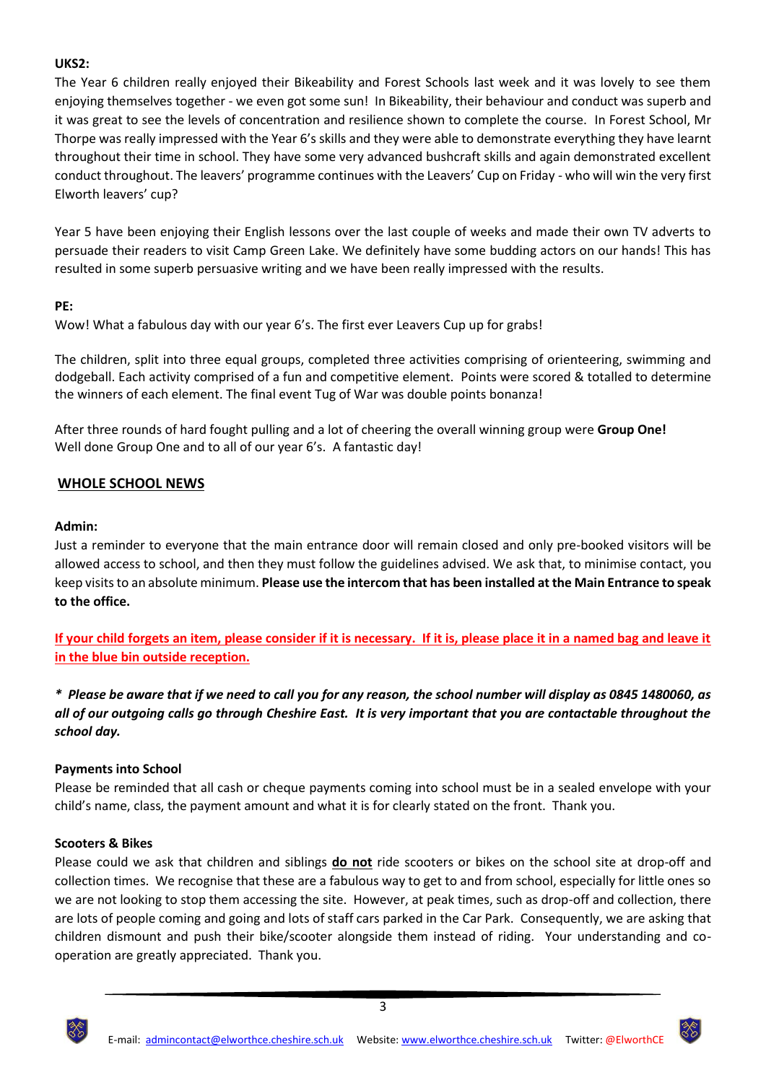# **UKS2:**

The Year 6 children really enjoyed their Bikeability and Forest Schools last week and it was lovely to see them enjoying themselves together - we even got some sun! In Bikeability, their behaviour and conduct was superb and it was great to see the levels of concentration and resilience shown to complete the course. In Forest School, Mr Thorpe was really impressed with the Year 6's skills and they were able to demonstrate everything they have learnt throughout their time in school. They have some very advanced bushcraft skills and again demonstrated excellent conduct throughout. The leavers' programme continues with the Leavers' Cup on Friday - who will win the very first Elworth leavers' cup?

Year 5 have been enjoying their English lessons over the last couple of weeks and made their own TV adverts to persuade their readers to visit Camp Green Lake. We definitely have some budding actors on our hands! This has resulted in some superb persuasive writing and we have been really impressed with the results.

# **PE:**

Wow! What a fabulous day with our year 6's. The first ever Leavers Cup up for grabs!

The children, split into three equal groups, completed three activities comprising of orienteering, swimming and dodgeball. Each activity comprised of a fun and competitive element. Points were scored & totalled to determine the winners of each element. The final event Tug of War was double points bonanza!

After three rounds of hard fought pulling and a lot of cheering the overall winning group were **Group One!** Well done Group One and to all of our year 6's. A fantastic day!

# **WHOLE SCHOOL NEWS**

## **Admin:**

Just a reminder to everyone that the main entrance door will remain closed and only pre-booked visitors will be allowed access to school, and then they must follow the guidelines advised. We ask that, to minimise contact, you keep visits to an absolute minimum. **Please use the intercom that has been installed at the Main Entrance to speak to the office.**

**If your child forgets an item, please consider if it is necessary. If it is, please place it in a named bag and leave it in the blue bin outside reception.**

*\* Please be aware that if we need to call you for any reason, the school number will display as 0845 1480060, as all of our outgoing calls go through Cheshire East. It is very important that you are contactable throughout the school day.*

## **Payments into School**

Please be reminded that all cash or cheque payments coming into school must be in a sealed envelope with your child's name, class, the payment amount and what it is for clearly stated on the front. Thank you.

## **Scooters & Bikes**

Please could we ask that children and siblings **do not** ride scooters or bikes on the school site at drop-off and collection times. We recognise that these are a fabulous way to get to and from school, especially for little ones so we are not looking to stop them accessing the site. However, at peak times, such as drop-off and collection, there are lots of people coming and going and lots of staff cars parked in the Car Park. Consequently, we are asking that children dismount and push their bike/scooter alongside them instead of riding. Your understanding and cooperation are greatly appreciated. Thank you.



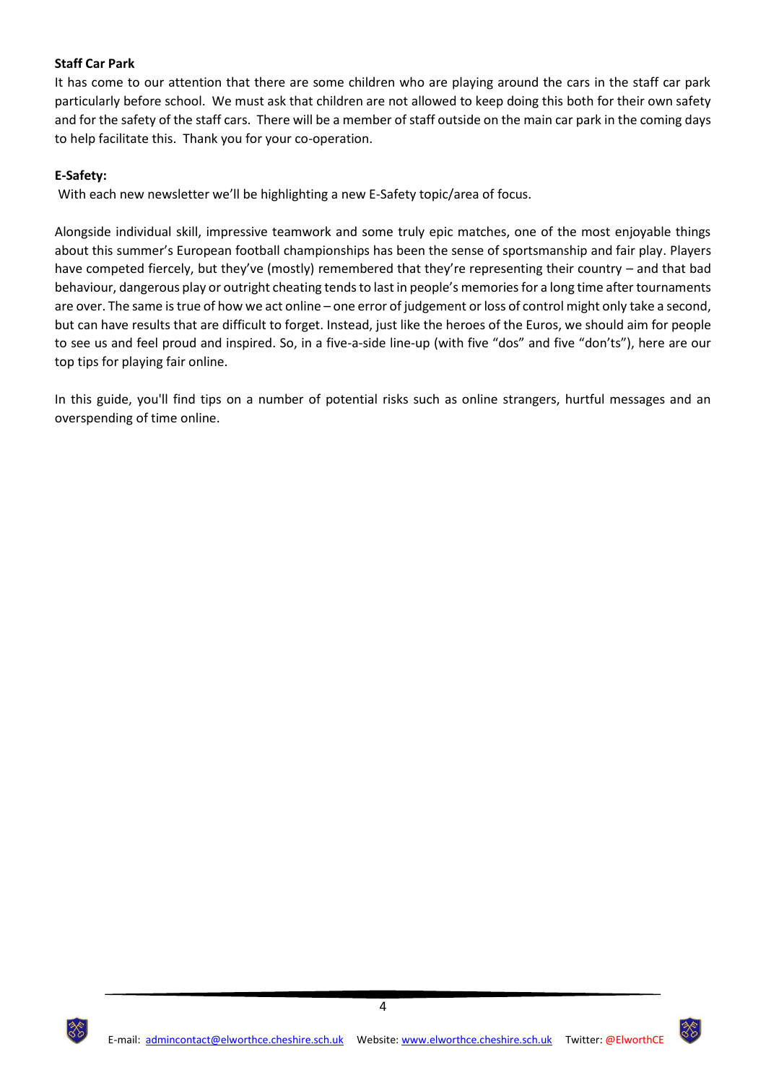## **Staff Car Park**

It has come to our attention that there are some children who are playing around the cars in the staff car park particularly before school. We must ask that children are not allowed to keep doing this both for their own safety and for the safety of the staff cars. There will be a member of staff outside on the main car park in the coming days to help facilitate this. Thank you for your co-operation.

## **E-Safety:**

With each new newsletter we'll be highlighting a new E-Safety topic/area of focus.

Alongside individual skill, impressive teamwork and some truly epic matches, one of the most enjoyable things about this summer's European football championships has been the sense of sportsmanship and fair play. Players have competed fiercely, but they've (mostly) remembered that they're representing their country – and that bad behaviour, dangerous play or outright cheating tends to last in people's memories for a long time after tournaments are over. The same is true of how we act online – one error of judgement or loss of control might only take a second, but can have results that are difficult to forget. Instead, just like the heroes of the Euros, we should aim for people to see us and feel proud and inspired. So, in a five-a-side line-up (with five "dos" and five "don'ts"), here are our top tips for playing fair online.

In this guide, you'll find tips on a number of potential risks such as online strangers, hurtful messages and an overspending of time online.